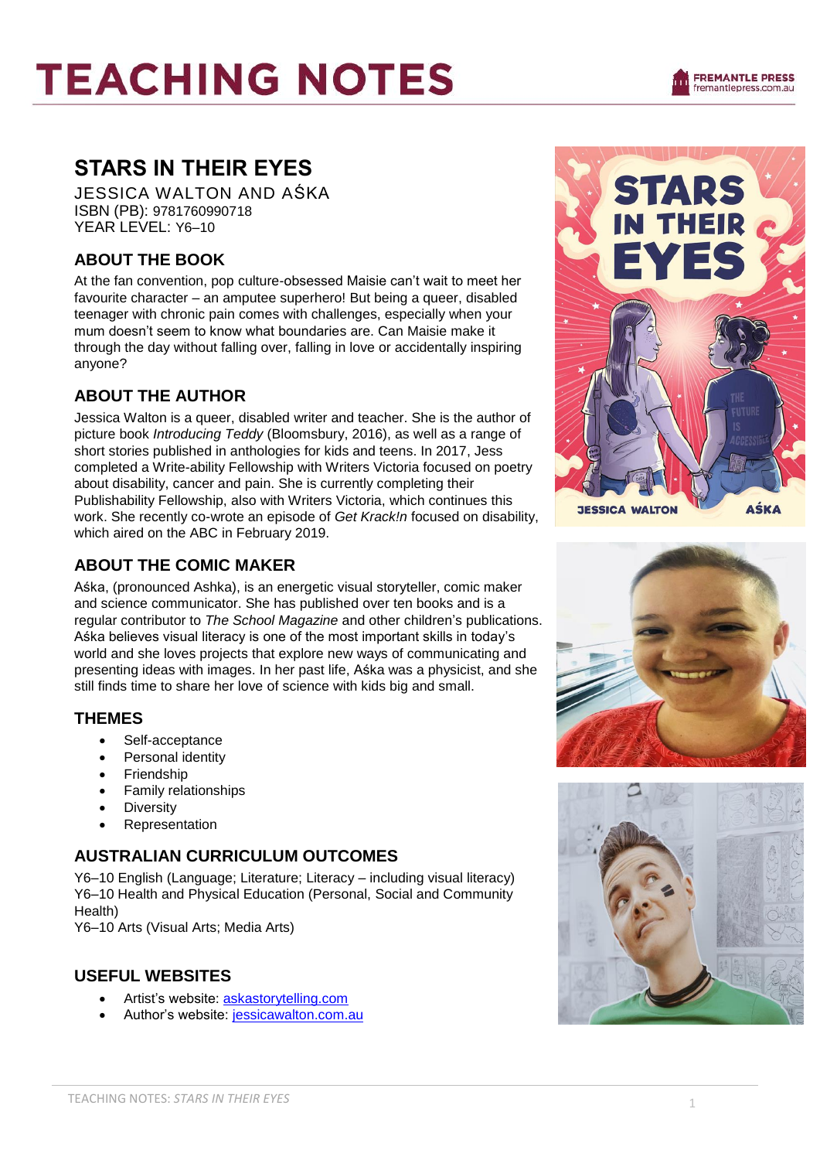### **STARS IN THEIR EYES**

JESSICA WALTON AND AŚKA ISBN (PB): 9781760990718 YEAR LEVEL: Y6–10

#### **ABOUT THE BOOK**

At the fan convention, pop culture-obsessed Maisie can't wait to meet her favourite character – an amputee superhero! But being a queer, disabled teenager with chronic pain comes with challenges, especially when your mum doesn't seem to know what boundaries are. Can Maisie make it through the day without falling over, falling in love or accidentally inspiring anyone?

#### **ABOUT THE AUTHOR**

Jessica Walton is a queer, disabled writer and teacher. She is the author of picture book *Introducing Teddy* (Bloomsbury, 2016), as well as a range of short stories published in anthologies for kids and teens. In 2017, Jess completed a Write-ability Fellowship with Writers Victoria focused on poetry about disability, cancer and pain. She is currently completing their Publishability Fellowship, also with Writers Victoria, which continues this work. She recently co-wrote an episode of *Get Krack!n* focused on disability, which aired on the ABC in February 2019.

#### **ABOUT THE COMIC MAKER**

Aśka, (pronounced Ashka), is an energetic visual storyteller, comic maker and science communicator. She has published over ten books and is a regular contributor to *The School Magazine* and other children's publications. Aśka believes visual literacy is one of the most important skills in today's world and she loves projects that explore new ways of communicating and presenting ideas with images. In her past life, Aśka was a physicist, and she still finds time to share her love of science with kids big and small.

#### **THEMES**

- Self-acceptance
- Personal identity
- Friendship
- Family relationships
- Diversity
- Representation

#### **AUSTRALIAN CURRICULUM OUTCOMES**

Y6–10 English (Language; Literature; Literacy – including visual literacy) Y6–10 Health and Physical Education (Personal, Social and Community Health)

Y6–10 Arts (Visual Arts; Media Arts)

#### **USEFUL WEBSITES**

- Artist's website: [askastorytelling.com](https://www.askastorytelling.com/)
- Author's website: [jessicawalton.com.au](http://jessicawalton.com.au/)





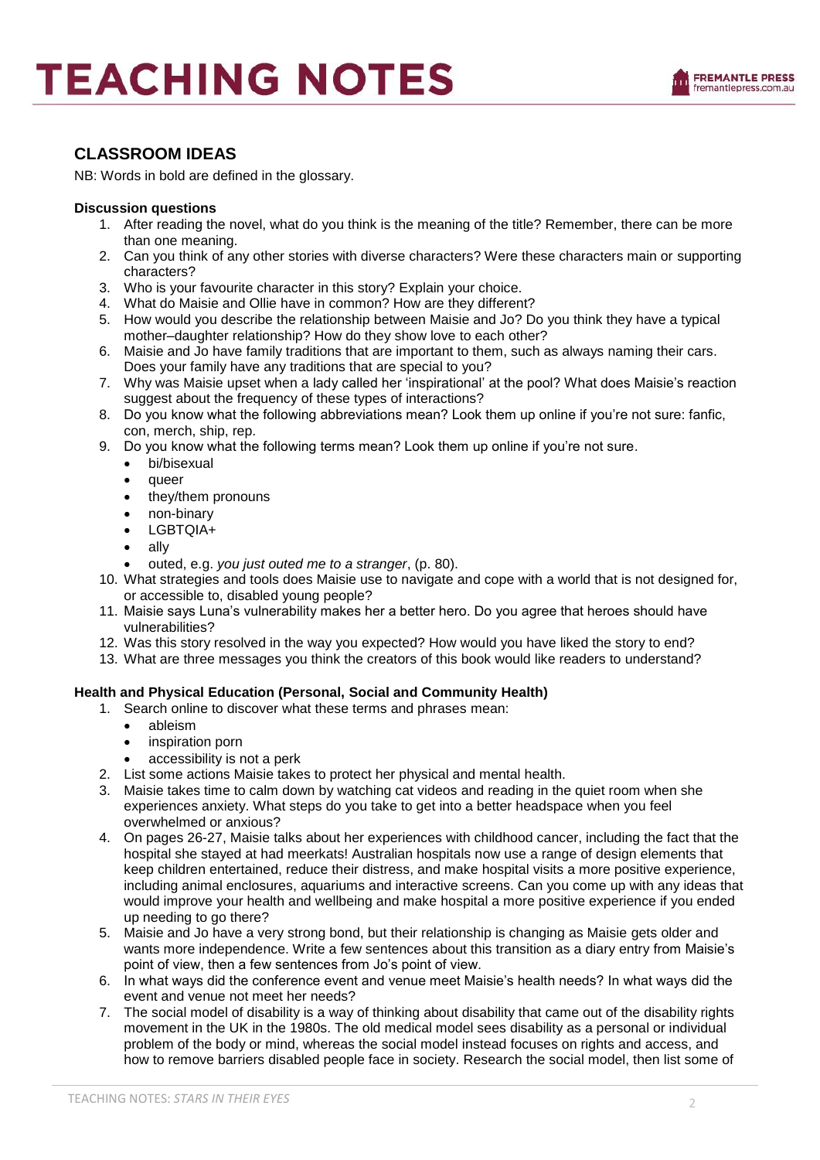

#### **CLASSROOM IDEAS**

NB: Words in bold are defined in the glossary.

#### **Discussion questions**

- 1. After reading the novel, what do you think is the meaning of the title? Remember, there can be more than one meaning.
- 2. Can you think of any other stories with diverse characters? Were these characters main or supporting characters?
- 3. Who is your favourite character in this story? Explain your choice.
- 4. What do Maisie and Ollie have in common? How are they different?
- 5. How would you describe the relationship between Maisie and Jo? Do you think they have a typical mother–daughter relationship? How do they show love to each other?
- 6. Maisie and Jo have family traditions that are important to them, such as always naming their cars. Does your family have any traditions that are special to you?
- 7. Why was Maisie upset when a lady called her 'inspirational' at the pool? What does Maisie's reaction suggest about the frequency of these types of interactions?
- 8. Do you know what the following abbreviations mean? Look them up online if you're not sure: fanfic, con, merch, ship, rep.
- 9. Do you know what the following terms mean? Look them up online if you're not sure.
	- bi/bisexual
	- queer
	- they/them pronouns
	- non-binary
	- LGBTQIA+
	- ally
	- outed, e.g. *you just outed me to a stranger*, (p. 80).
- 10. What strategies and tools does Maisie use to navigate and cope with a world that is not designed for, or accessible to, disabled young people?
- 11. Maisie says Luna's vulnerability makes her a better hero. Do you agree that heroes should have vulnerabilities?
- 12. Was this story resolved in the way you expected? How would you have liked the story to end?
- 13. What are three messages you think the creators of this book would like readers to understand?

#### **Health and Physical Education (Personal, Social and Community Health)**

- 1. Search online to discover what these terms and phrases mean:
	- ableism
	- inspiration porn
	- accessibility is not a perk
- 2. List some actions Maisie takes to protect her physical and mental health.
- 3. Maisie takes time to calm down by watching cat videos and reading in the quiet room when she experiences anxiety. What steps do you take to get into a better headspace when you feel overwhelmed or anxious?
- 4. On pages 26-27, Maisie talks about her experiences with childhood cancer, including the fact that the hospital she stayed at had meerkats! Australian hospitals now use a range of design elements that keep children entertained, reduce their distress, and make hospital visits a more positive experience, including animal enclosures, aquariums and interactive screens. Can you come up with any ideas that would improve your health and wellbeing and make hospital a more positive experience if you ended up needing to go there?
- 5. Maisie and Jo have a very strong bond, but their relationship is changing as Maisie gets older and wants more independence. Write a few sentences about this transition as a diary entry from Maisie's point of view, then a few sentences from Jo's point of view.
- 6. In what ways did the conference event and venue meet Maisie's health needs? In what ways did the event and venue not meet her needs?
- 7. The social model of disability is a way of thinking about disability that came out of the disability rights movement in the UK in the 1980s. The old medical model sees disability as a personal or individual problem of the body or mind, whereas the social model instead focuses on rights and access, and how to remove barriers disabled people face in society. Research the social model, then list some of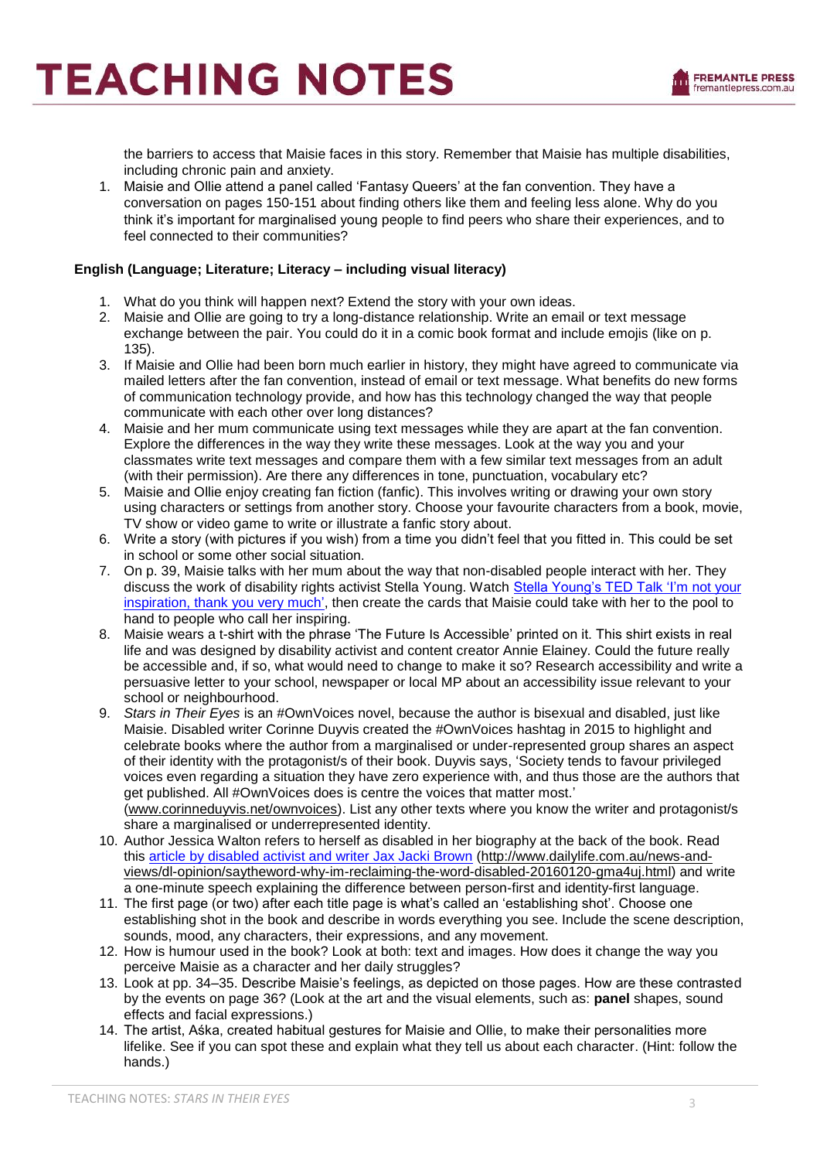the barriers to access that Maisie faces in this story. Remember that Maisie has multiple disabilities, including chronic pain and anxiety.

1. Maisie and Ollie attend a panel called 'Fantasy Queers' at the fan convention. They have a conversation on pages 150-151 about finding others like them and feeling less alone. Why do you think it's important for marginalised young people to find peers who share their experiences, and to feel connected to their communities?

#### **English (Language; Literature; Literacy – including visual literacy)**

- 1. What do you think will happen next? Extend the story with your own ideas.
- 2. Maisie and Ollie are going to try a long-distance relationship. Write an email or text message exchange between the pair. You could do it in a comic book format and include emojis (like on p. 135).
- 3. If Maisie and Ollie had been born much earlier in history, they might have agreed to communicate via mailed letters after the fan convention, instead of email or text message. What benefits do new forms of communication technology provide, and how has this technology changed the way that people communicate with each other over long distances?
- 4. Maisie and her mum communicate using text messages while they are apart at the fan convention. Explore the differences in the way they write these messages. Look at the way you and your classmates write text messages and compare them with a few similar text messages from an adult (with their permission). Are there any differences in tone, punctuation, vocabulary etc?
- 5. Maisie and Ollie enjoy creating fan fiction (fanfic). This involves writing or drawing your own story using characters or settings from another story. Choose your favourite characters from a book, movie, TV show or video game to write or illustrate a fanfic story about.
- 6. Write a story (with pictures if you wish) from a time you didn't feel that you fitted in. This could be set in school or some other social situation.
- 7. On p. 39, Maisie talks with her mum about the way that non-disabled people interact with her. They discuss the work of disability rights activist Stella Young. Watch [Stella Young's TED Talk 'I'm not your](https://www.ted.com/talks/stella_young_i_m_not_your_inspiration_thank_you_very_much/transcript?language=en)  [inspiration, thank you very much',](https://www.ted.com/talks/stella_young_i_m_not_your_inspiration_thank_you_very_much/transcript?language=en) then create the cards that Maisie could take with her to the pool to hand to people who call her inspiring.
- 8. Maisie wears a t-shirt with the phrase 'The Future Is Accessible' printed on it. This shirt exists in real life and was designed by disability activist and content creator Annie Elainey. Could the future really be accessible and, if so, what would need to change to make it so? Research accessibility and write a persuasive letter to your school, newspaper or local MP about an accessibility issue relevant to your school or neighbourhood.
- 9. *Stars in Their Eyes* is an #OwnVoices novel, because the author is bisexual and disabled, just like Maisie. Disabled writer Corinne Duyvis created the #OwnVoices hashtag in 2015 to highlight and celebrate books where the author from a marginalised or under-represented group shares an aspect of their identity with the protagonist/s of their book. Duyvis says, 'Society tends to favour privileged voices even regarding a situation they have zero experience with, and thus those are the authors that get published. All #OwnVoices does is centre the voices that matter most.' [\(www.corinneduyvis.net/ownvoices\)](http://www.corinneduyvis.net/ownvoices). List any other texts where you know the writer and protagonist/s share a marginalised or underrepresented identity.
- 10. Author Jessica Walton refers to herself as disabled in her biography at the back of the book. Read this [article by disabled activist and writer Jax Jacki Brown](http://www.dailylife.com.au/news-and-views/dl-opinion/saytheword-why-im-reclaiming-the-word-disabled-20160120-gma4uj.html) [\(http://www.dailylife.com.au/news-and](http://www.dailylife.com.au/news-and-views/dl-opinion/saytheword-why-im-reclaiming-the-word-disabled-20160120-gma4uj.html)[views/dl-opinion/saytheword-why-im-reclaiming-the-word-disabled-20160120-gma4uj.html\)](http://www.dailylife.com.au/news-and-views/dl-opinion/saytheword-why-im-reclaiming-the-word-disabled-20160120-gma4uj.html) and write a one-minute speech explaining the difference between person-first and identity-first language.
- 11. The first page (or two) after each title page is what's called an 'establishing shot'. Choose one establishing shot in the book and describe in words everything you see. Include the scene description, sounds, mood, any characters, their expressions, and any movement.
- 12. How is humour used in the book? Look at both: text and images. How does it change the way you perceive Maisie as a character and her daily struggles?
- 13. Look at pp. 34–35. Describe Maisie's feelings, as depicted on those pages. How are these contrasted by the events on page 36? (Look at the art and the visual elements, such as: **panel** shapes, sound effects and facial expressions.)
- 14. The artist, Aśka, created habitual gestures for Maisie and Ollie, to make their personalities more lifelike. See if you can spot these and explain what they tell us about each character. (Hint: follow the hands.)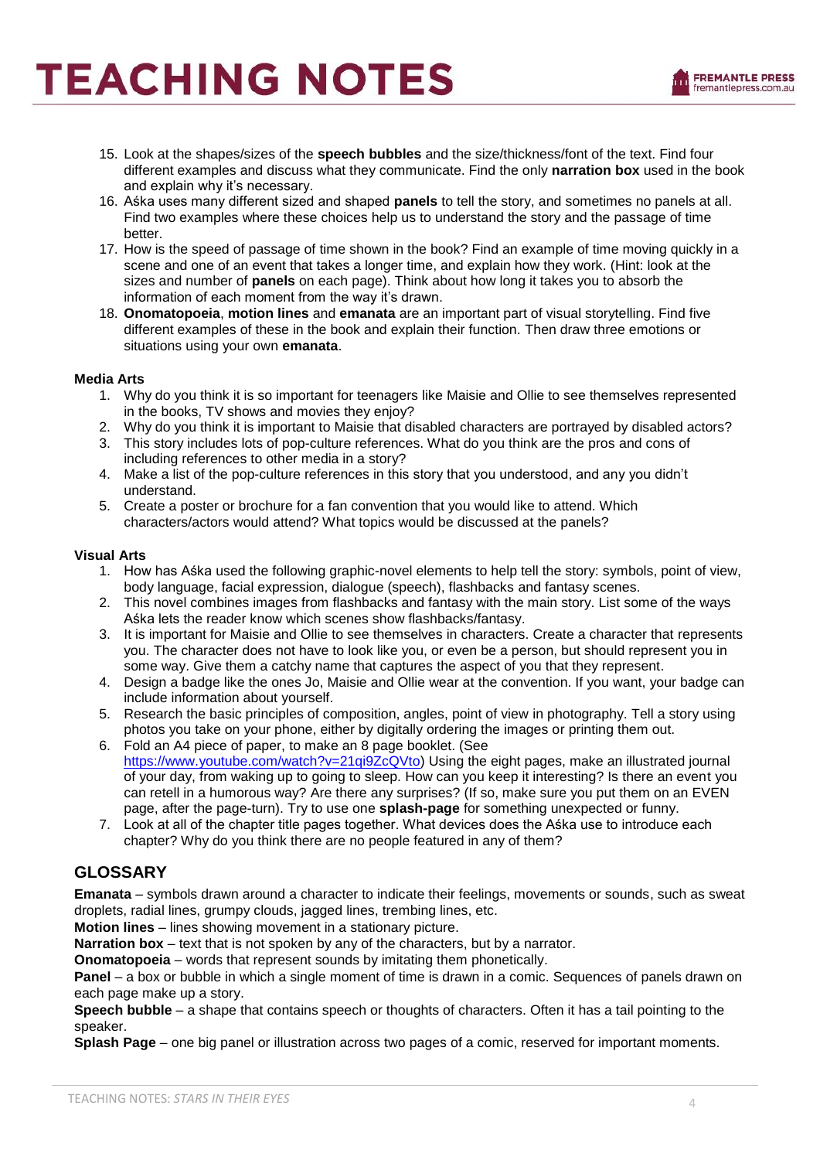

- 15. Look at the shapes/sizes of the **speech bubbles** and the size/thickness/font of the text. Find four different examples and discuss what they communicate. Find the only **narration box** used in the book and explain why it's necessary.
- 16. Aśka uses many different sized and shaped **panels** to tell the story, and sometimes no panels at all. Find two examples where these choices help us to understand the story and the passage of time better.
- 17. How is the speed of passage of time shown in the book? Find an example of time moving quickly in a scene and one of an event that takes a longer time, and explain how they work. (Hint: look at the sizes and number of **panels** on each page). Think about how long it takes you to absorb the information of each moment from the way it's drawn.
- 18. **Onomatopoeia**, **motion lines** and **emanata** are an important part of visual storytelling. Find five different examples of these in the book and explain their function. Then draw three emotions or situations using your own **emanata**.

#### **Media Arts**

- 1. Why do you think it is so important for teenagers like Maisie and Ollie to see themselves represented in the books, TV shows and movies they enjoy?
- 2. Why do you think it is important to Maisie that disabled characters are portrayed by disabled actors?
- 3. This story includes lots of pop-culture references. What do you think are the pros and cons of including references to other media in a story?
- 4. Make a list of the pop-culture references in this story that you understood, and any you didn't understand.
- 5. Create a poster or brochure for a fan convention that you would like to attend. Which characters/actors would attend? What topics would be discussed at the panels?

#### **Visual Arts**

- 1. How has Aśka used the following graphic-novel elements to help tell the story: symbols, point of view, body language, facial expression, dialogue (speech), flashbacks and fantasy scenes.
- 2. This novel combines images from flashbacks and fantasy with the main story. List some of the ways Aśka lets the reader know which scenes show flashbacks/fantasy.
- 3. It is important for Maisie and Ollie to see themselves in characters. Create a character that represents you. The character does not have to look like you, or even be a person, but should represent you in some way. Give them a catchy name that captures the aspect of you that they represent.
- 4. Design a badge like the ones Jo, Maisie and Ollie wear at the convention. If you want, your badge can include information about yourself.
- 5. Research the basic principles of composition, angles, point of view in photography. Tell a story using photos you take on your phone, either by digitally ordering the images or printing them out.
- 6. Fold an A4 piece of paper, to make an 8 page booklet. (See [https://www.youtube.com/watch?v=21qi9ZcQVto\)](https://www.youtube.com/watch?v=21qi9ZcQVto) Using the eight pages, make an illustrated journal of your day, from waking up to going to sleep. How can you keep it interesting? Is there an event you can retell in a humorous way? Are there any surprises? (If so, make sure you put them on an EVEN page, after the page-turn). Try to use one **splash-page** for something unexpected or funny.
- 7. Look at all of the chapter title pages together. What devices does the Aśka use to introduce each chapter? Why do you think there are no people featured in any of them?

#### **GLOSSARY**

**Emanata** – symbols drawn around a character to indicate their feelings, movements or sounds, such as sweat droplets, radial lines, grumpy clouds, jagged lines, trembing lines, etc.

**Motion lines** – lines showing movement in a stationary picture.

**Narration box** – text that is not spoken by any of the characters, but by a narrator.

**Onomatopoeia** – words that represent sounds by imitating them phonetically.

**Panel** – a box or bubble in which a single moment of time is drawn in a comic. Sequences of panels drawn on each page make up a story.

**Speech bubble** – a shape that contains speech or thoughts of characters. Often it has a tail pointing to the speaker.

**Splash Page** – one big panel or illustration across two pages of a comic, reserved for important moments.